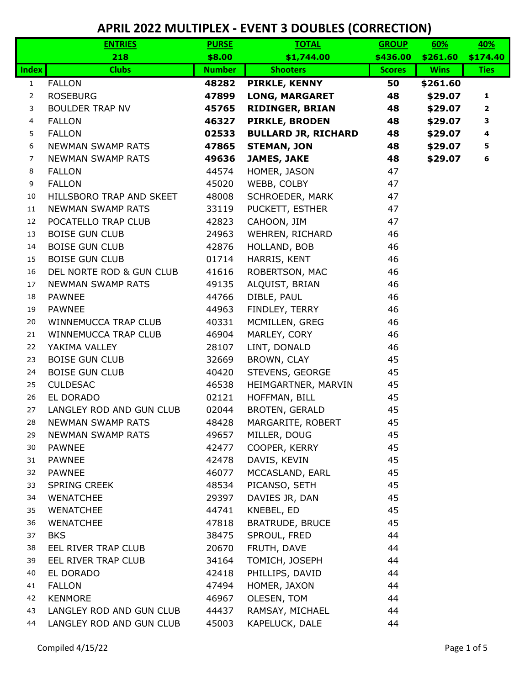|                | <b>ENTRIES</b>           | <b>PURSE</b>  | <b>TOTAL</b>               | <b>GROUP</b>  | 60%         | <u>40%</u>   |
|----------------|--------------------------|---------------|----------------------------|---------------|-------------|--------------|
|                | 218                      | \$8.00        | \$1,744.00                 | \$436.00      | \$261.60    | \$174.40     |
| <b>Index</b>   | <b>Clubs</b>             | <b>Number</b> | <b>Shooters</b>            | <b>Scores</b> | <b>Wins</b> | <b>Ties</b>  |
| $\mathbf{1}$   | <b>FALLON</b>            | 48282         | PIRKLE, KENNY              | 50            | \$261.60    |              |
| 2              | <b>ROSEBURG</b>          | 47899         | <b>LONG, MARGARET</b>      | 48            | \$29.07     | $\mathbf{1}$ |
| 3              | <b>BOULDER TRAP NV</b>   | 45765         | <b>RIDINGER, BRIAN</b>     | 48            | \$29.07     | $\mathbf{2}$ |
| 4              | <b>FALLON</b>            | 46327         | <b>PIRKLE, BRODEN</b>      | 48            | \$29.07     | 3            |
| 5              | <b>FALLON</b>            | 02533         | <b>BULLARD JR, RICHARD</b> | 48            | \$29.07     | 4            |
| 6              | <b>NEWMAN SWAMP RATS</b> | 47865         | <b>STEMAN, JON</b>         | 48            | \$29.07     | 5            |
| $\overline{7}$ | <b>NEWMAN SWAMP RATS</b> | 49636         | <b>JAMES, JAKE</b>         | 48            | \$29.07     | 6            |
| 8              | <b>FALLON</b>            | 44574         | HOMER, JASON               | 47            |             |              |
| 9              | <b>FALLON</b>            | 45020         | WEBB, COLBY                | 47            |             |              |
| 10             | HILLSBORO TRAP AND SKEET | 48008         | SCHROEDER, MARK            | 47            |             |              |
| 11             | <b>NEWMAN SWAMP RATS</b> | 33119         | PUCKETT, ESTHER            | 47            |             |              |
| 12             | POCATELLO TRAP CLUB      | 42823         | CAHOON, JIM                | 47            |             |              |
| 13             | <b>BOISE GUN CLUB</b>    | 24963         | WEHREN, RICHARD            | 46            |             |              |
| 14             | <b>BOISE GUN CLUB</b>    | 42876         | HOLLAND, BOB               | 46            |             |              |
| 15             | <b>BOISE GUN CLUB</b>    | 01714         | HARRIS, KENT               | 46            |             |              |
| 16             | DEL NORTE ROD & GUN CLUB | 41616         | ROBERTSON, MAC             | 46            |             |              |
| 17             | <b>NEWMAN SWAMP RATS</b> | 49135         | ALQUIST, BRIAN             | 46            |             |              |
| 18             | <b>PAWNEE</b>            | 44766         | DIBLE, PAUL                | 46            |             |              |
| 19             | <b>PAWNEE</b>            | 44963         | FINDLEY, TERRY             | 46            |             |              |
| 20             | WINNEMUCCA TRAP CLUB     | 40331         | MCMILLEN, GREG             | 46            |             |              |
| 21             | WINNEMUCCA TRAP CLUB     | 46904         | MARLEY, CORY               | 46            |             |              |
| 22             | YAKIMA VALLEY            | 28107         | LINT, DONALD               | 46            |             |              |
| 23             | <b>BOISE GUN CLUB</b>    | 32669         | BROWN, CLAY                | 45            |             |              |
| 24             | <b>BOISE GUN CLUB</b>    | 40420         | STEVENS, GEORGE            | 45            |             |              |
| 25             | <b>CULDESAC</b>          | 46538         | HEIMGARTNER, MARVIN        | 45            |             |              |
| 26             | EL DORADO                | 02121         | HOFFMAN, BILL              | 45            |             |              |
| 27             | LANGLEY ROD AND GUN CLUB | 02044         | BROTEN, GERALD             | 45            |             |              |
| 28             | <b>NEWMAN SWAMP RATS</b> | 48428         | MARGARITE, ROBERT          | 45            |             |              |
| 29             | <b>NEWMAN SWAMP RATS</b> | 49657         | MILLER, DOUG               | 45            |             |              |
| 30             | <b>PAWNEE</b>            | 42477         | COOPER, KERRY              | 45            |             |              |
| 31             | <b>PAWNEE</b>            | 42478         | DAVIS, KEVIN               | 45            |             |              |
| 32             | <b>PAWNEE</b>            | 46077         | MCCASLAND, EARL            | 45            |             |              |
| 33             | <b>SPRING CREEK</b>      | 48534         | PICANSO, SETH              | 45            |             |              |
| 34             | <b>WENATCHEE</b>         | 29397         | DAVIES JR, DAN             | 45            |             |              |
| 35             | <b>WENATCHEE</b>         | 44741         | KNEBEL, ED                 | 45            |             |              |
| 36             | <b>WENATCHEE</b>         | 47818         | <b>BRATRUDE, BRUCE</b>     | 45            |             |              |
| 37             | <b>BKS</b>               | 38475         | SPROUL, FRED               | 44            |             |              |
| 38             | EEL RIVER TRAP CLUB      | 20670         | FRUTH, DAVE                | 44            |             |              |
| 39             | EEL RIVER TRAP CLUB      | 34164         | TOMICH, JOSEPH             | 44            |             |              |
| 40             | EL DORADO                | 42418         | PHILLIPS, DAVID            | 44            |             |              |
| 41             | <b>FALLON</b>            | 47494         | HOMER, JAXON               | 44            |             |              |
| 42             | <b>KENMORE</b>           | 46967         | OLESEN, TOM                | 44            |             |              |
| 43             | LANGLEY ROD AND GUN CLUB | 44437         | RAMSAY, MICHAEL            | 44            |             |              |
| 44             | LANGLEY ROD AND GUN CLUB | 45003         | KAPELUCK, DALE             | 44            |             |              |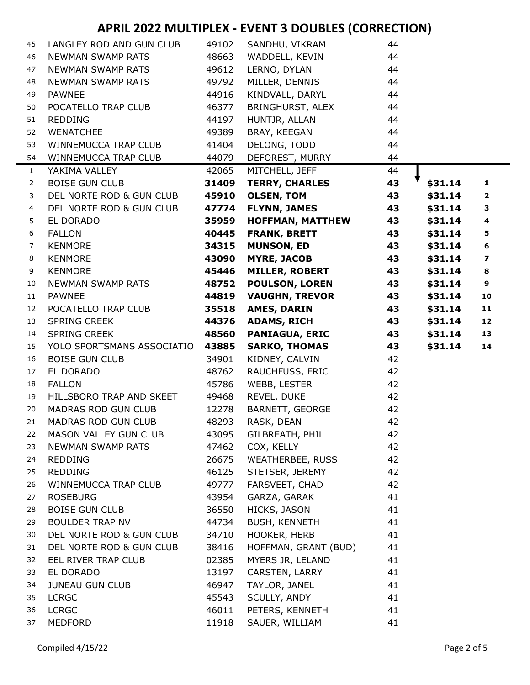| 45             | LANGLEY ROD AND GUN CLUB       | 49102          | SANDHU, VIKRAM                    | 44       |         |                         |
|----------------|--------------------------------|----------------|-----------------------------------|----------|---------|-------------------------|
| 46             | <b>NEWMAN SWAMP RATS</b>       | 48663          | WADDELL, KEVIN                    | 44       |         |                         |
| 47             | <b>NEWMAN SWAMP RATS</b>       | 49612          | LERNO, DYLAN                      | 44       |         |                         |
| 48             | <b>NEWMAN SWAMP RATS</b>       | 49792          | MILLER, DENNIS                    | 44       |         |                         |
| 49             | <b>PAWNEE</b>                  | 44916          | KINDVALL, DARYL                   | 44       |         |                         |
| 50             | POCATELLO TRAP CLUB            | 46377          | BRINGHURST, ALEX                  | 44       |         |                         |
| 51             | <b>REDDING</b>                 | 44197          | HUNTJR, ALLAN                     | 44       |         |                         |
| 52             | <b>WENATCHEE</b>               | 49389          | BRAY, KEEGAN                      | 44       |         |                         |
| 53             | WINNEMUCCA TRAP CLUB           | 41404          | DELONG, TODD                      | 44       |         |                         |
| 54             | WINNEMUCCA TRAP CLUB           | 44079          | DEFOREST, MURRY                   | 44       |         |                         |
| $\mathbf{1}$   | YAKIMA VALLEY                  | 42065          | MITCHELL, JEFF                    | 44       |         |                         |
| $\overline{2}$ | <b>BOISE GUN CLUB</b>          | 31409          | <b>TERRY, CHARLES</b>             | 43       | \$31.14 | $\mathbf{1}$            |
| 3              | DEL NORTE ROD & GUN CLUB       | 45910          | <b>OLSEN, TOM</b>                 | 43       | \$31.14 | $\overline{2}$          |
| $\overline{4}$ | DEL NORTE ROD & GUN CLUB       | 47774          | <b>FLYNN, JAMES</b>               | 43       | \$31.14 | 3                       |
| 5              | EL DORADO                      | 35959          | <b>HOFFMAN, MATTHEW</b>           | 43       | \$31.14 | 4                       |
| 6              | <b>FALLON</b>                  | 40445          | <b>FRANK, BRETT</b>               | 43       | \$31.14 | 5                       |
| $\overline{7}$ | <b>KENMORE</b>                 | 34315          | <b>MUNSON, ED</b>                 | 43       | \$31.14 | 6                       |
| 8              | <b>KENMORE</b>                 | 43090          | <b>MYRE, JACOB</b>                | 43       | \$31.14 | $\overline{\mathbf{z}}$ |
| 9              | <b>KENMORE</b>                 | 45446          | <b>MILLER, ROBERT</b>             | 43       | \$31.14 | 8                       |
| 10             | <b>NEWMAN SWAMP RATS</b>       | 48752          | <b>POULSON, LOREN</b>             | 43       | \$31.14 | 9                       |
| 11             | <b>PAWNEE</b>                  | 44819          | <b>VAUGHN, TREVOR</b>             | 43       | \$31.14 | 10                      |
| 12             | POCATELLO TRAP CLUB            | 35518          | AMES, DARIN                       | 43       | \$31.14 | 11                      |
| 13             | <b>SPRING CREEK</b>            | 44376          | <b>ADAMS, RICH</b>                | 43       | \$31.14 | 12                      |
| 14             | <b>SPRING CREEK</b>            | 48560          | <b>PANIAGUA, ERIC</b>             | 43       | \$31.14 | 13                      |
|                |                                |                | <b>SARKO, THOMAS</b>              | 43       |         |                         |
| 15             | YOLO SPORTSMANS ASSOCIATIO     | 43885          |                                   |          | \$31.14 | 14                      |
| 16             | <b>BOISE GUN CLUB</b>          | 34901          | KIDNEY, CALVIN                    | 42       |         |                         |
| 17             | EL DORADO                      | 48762          | RAUCHFUSS, ERIC                   | 42       |         |                         |
| 18             | <b>FALLON</b>                  | 45786          | WEBB, LESTER                      | 42       |         |                         |
| 19             | HILLSBORO TRAP AND SKEET       | 49468          | REVEL, DUKE                       | 42       |         |                         |
| 20             | MADRAS ROD GUN CLUB            | 12278          | BARNETT, GEORGE                   | 42       |         |                         |
| 21             | MADRAS ROD GUN CLUB            | 48293          | RASK, DEAN                        | 42       |         |                         |
| 22             | MASON VALLEY GUN CLUB          | 43095          | GILBREATH, PHIL                   | 42       |         |                         |
| 23             | <b>NEWMAN SWAMP RATS</b>       | 47462          | COX, KELLY                        | 42       |         |                         |
| 24             | <b>REDDING</b>                 | 26675          | WEATHERBEE, RUSS                  | 42       |         |                         |
| 25             | <b>REDDING</b>                 | 46125          | STETSER, JEREMY                   | 42       |         |                         |
| 26             | WINNEMUCCA TRAP CLUB           | 49777          | FARSVEET, CHAD                    | 42       |         |                         |
| 27             | <b>ROSEBURG</b>                | 43954          | GARZA, GARAK                      | 41       |         |                         |
| 28             | <b>BOISE GUN CLUB</b>          | 36550          | HICKS, JASON                      | 41       |         |                         |
| 29             | <b>BOULDER TRAP NV</b>         | 44734          | <b>BUSH, KENNETH</b>              | 41       |         |                         |
| 30             | DEL NORTE ROD & GUN CLUB       | 34710          | HOOKER, HERB                      | 41       |         |                         |
| 31             | DEL NORTE ROD & GUN CLUB       | 38416          | HOFFMAN, GRANT (BUD)              | 41       |         |                         |
| 32             | EEL RIVER TRAP CLUB            | 02385          | MYERS JR, LELAND                  | 41       |         |                         |
| 33             | EL DORADO                      | 13197          | CARSTEN, LARRY                    | 41       |         |                         |
| 34             | <b>JUNEAU GUN CLUB</b>         | 46947          | TAYLOR, JANEL                     | 41       |         |                         |
| 35             | <b>LCRGC</b>                   | 45543          | SCULLY, ANDY                      | 41       |         |                         |
| 36             | <b>LCRGC</b><br><b>MEDFORD</b> | 46011<br>11918 | PETERS, KENNETH<br>SAUER, WILLIAM | 41<br>41 |         |                         |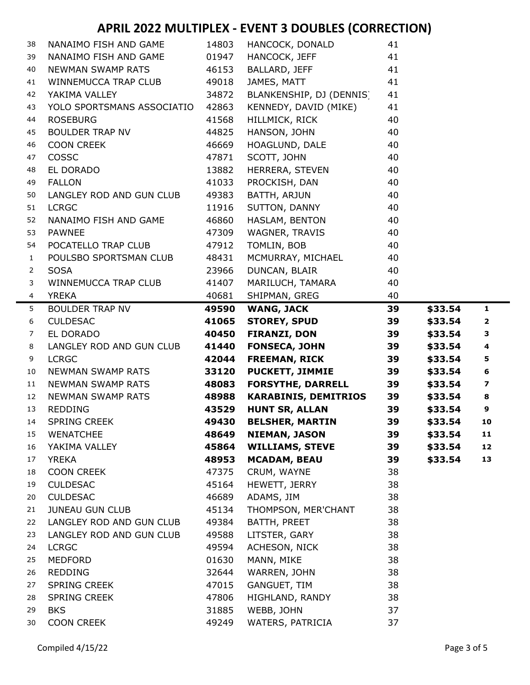| 38           | NANAIMO FISH AND GAME           | 14803          | HANCOCK, DONALD                | 41       |         |                         |
|--------------|---------------------------------|----------------|--------------------------------|----------|---------|-------------------------|
| 39           | NANAIMO FISH AND GAME           | 01947          | HANCOCK, JEFF                  | 41       |         |                         |
| 40           | NEWMAN SWAMP RATS               | 46153          | BALLARD, JEFF                  | 41       |         |                         |
| 41           | WINNEMUCCA TRAP CLUB            | 49018          | JAMES, MATT                    | 41       |         |                         |
| 42           | YAKIMA VALLEY                   | 34872          | BLANKENSHIP, DJ (DENNIS)       | 41       |         |                         |
| 43           | YOLO SPORTSMANS ASSOCIATIO      | 42863          | KENNEDY, DAVID (MIKE)          | 41       |         |                         |
| 44           | <b>ROSEBURG</b>                 | 41568          | HILLMICK, RICK                 | 40       |         |                         |
| 45           | <b>BOULDER TRAP NV</b>          | 44825          | HANSON, JOHN                   | 40       |         |                         |
| 46           | <b>COON CREEK</b>               | 46669          | HOAGLUND, DALE                 | 40       |         |                         |
| 47           | <b>COSSC</b>                    | 47871          | SCOTT, JOHN                    | 40       |         |                         |
| 48           | EL DORADO                       | 13882          | HERRERA, STEVEN                | 40       |         |                         |
| 49           | <b>FALLON</b>                   | 41033          | PROCKISH, DAN                  | 40       |         |                         |
| 50           | LANGLEY ROD AND GUN CLUB        | 49383          | BATTH, ARJUN                   | 40       |         |                         |
| 51           | <b>LCRGC</b>                    | 11916          | SUTTON, DANNY                  | 40       |         |                         |
| 52           | NANAIMO FISH AND GAME           | 46860          | HASLAM, BENTON                 | 40       |         |                         |
| 53           | <b>PAWNEE</b>                   | 47309          | WAGNER, TRAVIS                 | 40       |         |                         |
| 54           | POCATELLO TRAP CLUB             | 47912          | TOMLIN, BOB                    | 40       |         |                         |
| $\mathbf{1}$ | POULSBO SPORTSMAN CLUB          | 48431          | MCMURRAY, MICHAEL              | 40       |         |                         |
| 2            | <b>SOSA</b>                     | 23966          | DUNCAN, BLAIR                  | 40       |         |                         |
| 3            | WINNEMUCCA TRAP CLUB            | 41407          | MARILUCH, TAMARA               | 40       |         |                         |
| 4            | <b>YREKA</b>                    | 40681          | SHIPMAN, GREG                  | 40       |         |                         |
| 5            | <b>BOULDER TRAP NV</b>          | 49590          | <b>WANG, JACK</b>              | 39       | \$33.54 | $\mathbf{1}$            |
| 6            | <b>CULDESAC</b>                 | 41065          | <b>STOREY, SPUD</b>            | 39       | \$33.54 | $\mathbf{2}$            |
| 7            | EL DORADO                       | 40450          | <b>FIRANZI, DON</b>            | 39       | \$33.54 | 3                       |
| 8            | LANGLEY ROD AND GUN CLUB        | 41440          | <b>FONSECA, JOHN</b>           | 39       | \$33.54 | 4                       |
| 9            | <b>LCRGC</b>                    | 42044          | <b>FREEMAN, RICK</b>           | 39       | \$33.54 | 5                       |
| 10           | NEWMAN SWAMP RATS               | 33120          | <b>PUCKETT, JIMMIE</b>         | 39       | \$33.54 | 6                       |
| 11           | NEWMAN SWAMP RATS               | 48083          | <b>FORSYTHE, DARRELL</b>       | 39       | \$33.54 | $\overline{\mathbf{z}}$ |
| 12           | <b>NEWMAN SWAMP RATS</b>        | 48988          | <b>KARABINIS, DEMITRIOS</b>    | 39       | \$33.54 | 8                       |
| 13           | <b>REDDING</b>                  | 43529          | <b>HUNT SR, ALLAN</b>          | 39       | \$33.54 | $\boldsymbol{9}$        |
| 14           | <b>SPRING CREEK</b>             | 49430          | <b>BELSHER, MARTIN</b>         | 39       | \$33.54 | 10                      |
| 15           | <b>WENATCHEE</b>                | 48649          | <b>NIEMAN, JASON</b>           | 39       | \$33.54 | 11                      |
| 16           | YAKIMA VALLEY                   | 45864          | <b>WILLIAMS, STEVE</b>         | 39       | \$33.54 | 12                      |
| 17           |                                 |                |                                |          |         | 13                      |
|              | <b>YREKA</b>                    | 48953          | <b>MCADAM, BEAU</b>            | 39       | \$33.54 |                         |
| 18           | <b>COON CREEK</b>               | 47375          | CRUM, WAYNE                    | 38       |         |                         |
| 19           | <b>CULDESAC</b>                 | 45164          | HEWETT, JERRY                  | 38       |         |                         |
| 20           | <b>CULDESAC</b>                 | 46689          | ADAMS, JIM                     | 38       |         |                         |
| 21           | <b>JUNEAU GUN CLUB</b>          | 45134          | THOMPSON, MER'CHANT            | 38       |         |                         |
| 22           | LANGLEY ROD AND GUN CLUB        | 49384          | BATTH, PREET                   | 38       |         |                         |
| 23           | LANGLEY ROD AND GUN CLUB        | 49588          | LITSTER, GARY                  | 38       |         |                         |
| 24           | <b>LCRGC</b>                    | 49594          | ACHESON, NICK                  | 38       |         |                         |
| 25           | <b>MEDFORD</b>                  | 01630          | MANN, MIKE                     | 38       |         |                         |
| 26           | <b>REDDING</b>                  | 32644          | WARREN, JOHN                   | 38       |         |                         |
| 27           | <b>SPRING CREEK</b>             | 47015          | GANGUET, TIM                   | 38       |         |                         |
| 28           | <b>SPRING CREEK</b>             | 47806          | HIGHLAND, RANDY                | 38       |         |                         |
| 29<br>30     | <b>BKS</b><br><b>COON CREEK</b> | 31885<br>49249 | WEBB, JOHN<br>WATERS, PATRICIA | 37<br>37 |         |                         |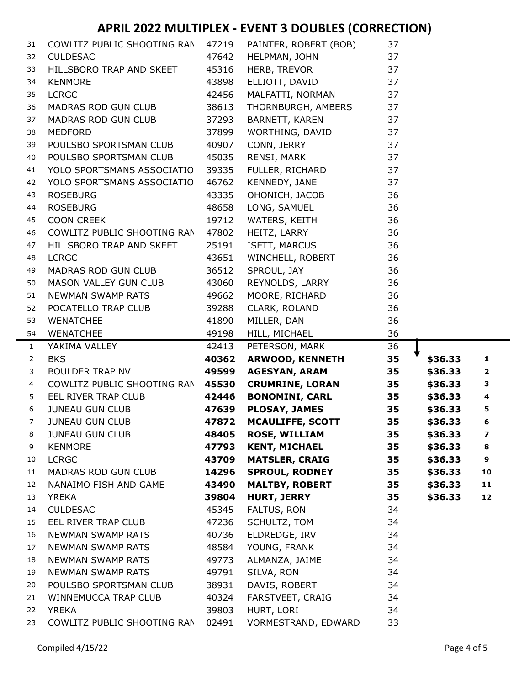| 31             | COWLITZ PUBLIC SHOOTING RAN                 | 47219          | PAINTER, ROBERT (BOB)             | 37       |         |             |
|----------------|---------------------------------------------|----------------|-----------------------------------|----------|---------|-------------|
| 32             | <b>CULDESAC</b>                             | 47642          | HELPMAN, JOHN                     | 37       |         |             |
| 33             | HILLSBORO TRAP AND SKEET                    | 45316          | HERB, TREVOR                      | 37       |         |             |
| 34             | <b>KENMORE</b>                              | 43898          | ELLIOTT, DAVID                    | 37       |         |             |
| 35             | <b>LCRGC</b>                                | 42456          | MALFATTI, NORMAN                  | 37       |         |             |
| 36             | MADRAS ROD GUN CLUB                         | 38613          | THORNBURGH, AMBERS                | 37       |         |             |
| 37             | MADRAS ROD GUN CLUB                         | 37293          | BARNETT, KAREN                    | 37       |         |             |
| 38             | <b>MEDFORD</b>                              | 37899          | WORTHING, DAVID                   | 37       |         |             |
| 39             | POULSBO SPORTSMAN CLUB                      | 40907          | CONN, JERRY                       | 37       |         |             |
| 40             | POULSBO SPORTSMAN CLUB                      | 45035          | RENSI, MARK                       | 37       |         |             |
| 41             | YOLO SPORTSMANS ASSOCIATIO                  | 39335          | FULLER, RICHARD                   | 37       |         |             |
| 42             | YOLO SPORTSMANS ASSOCIATIO                  | 46762          | KENNEDY, JANE                     | 37       |         |             |
| 43             | <b>ROSEBURG</b>                             | 43335          | OHONICH, JACOB                    | 36       |         |             |
| 44             | <b>ROSEBURG</b>                             | 48658          | LONG, SAMUEL                      | 36       |         |             |
| 45             | <b>COON CREEK</b>                           | 19712          | WATERS, KEITH                     | 36       |         |             |
| 46             | COWLITZ PUBLIC SHOOTING RAN                 | 47802          | HEITZ, LARRY                      | 36       |         |             |
| 47             | HILLSBORO TRAP AND SKEET                    | 25191          | ISETT, MARCUS                     | 36       |         |             |
| 48             | <b>LCRGC</b>                                | 43651          | WINCHELL, ROBERT                  | 36       |         |             |
| 49             | MADRAS ROD GUN CLUB                         | 36512          | SPROUL, JAY                       | 36       |         |             |
| 50             | MASON VALLEY GUN CLUB                       | 43060          | REYNOLDS, LARRY                   | 36       |         |             |
| 51             | NEWMAN SWAMP RATS                           | 49662          | MOORE, RICHARD                    | 36       |         |             |
| 52             | POCATELLO TRAP CLUB                         | 39288          | CLARK, ROLAND                     | 36       |         |             |
| 53             | <b>WENATCHEE</b>                            | 41890          | MILLER, DAN                       | 36       |         |             |
|                |                                             |                |                                   |          |         |             |
| 54             | <b>WENATCHEE</b>                            | 49198          | HILL, MICHAEL                     | 36       |         |             |
| $\mathbf{1}$   | YAKIMA VALLEY                               | 42413          | PETERSON, MARK                    | 36       |         |             |
| $\overline{2}$ | <b>BKS</b>                                  | 40362          | <b>ARWOOD, KENNETH</b>            | 35       | \$36.33 | 1           |
| 3              | <b>BOULDER TRAP NV</b>                      | 49599          | <b>AGESYAN, ARAM</b>              | 35       | \$36.33 | $\mathbf 2$ |
| 4              | COWLITZ PUBLIC SHOOTING RAN                 | 45530          | <b>CRUMRINE, LORAN</b>            | 35       | \$36.33 | 3           |
| 5              | EEL RIVER TRAP CLUB                         | 42446          | <b>BONOMINI, CARL</b>             | 35       | \$36.33 | 4           |
| 6              | <b>JUNEAU GUN CLUB</b>                      | 47639          | <b>PLOSAY, JAMES</b>              | 35       | \$36.33 | 5           |
| 7              | <b>JUNEAU GUN CLUB</b>                      | 47872          | <b>MCAULIFFE, SCOTT</b>           | 35       | \$36.33 | 6           |
| 8              | <b>JUNEAU GUN CLUB</b>                      | 48405          | <b>ROSE, WILLIAM</b>              | 35       | \$36.33 | 7           |
| 9              | <b>KENMORE</b>                              | 47793          | <b>KENT, MICHAEL</b>              | 35       | \$36.33 | 8           |
| 10             | <b>LCRGC</b>                                | 43709          | <b>MATSLER, CRAIG</b>             | 35       | \$36.33 | 9           |
| 11             | MADRAS ROD GUN CLUB                         | 14296          | <b>SPROUL, RODNEY</b>             | 35       | \$36.33 | 10          |
| 12             | NANAIMO FISH AND GAME                       | 43490          | <b>MALTBY, ROBERT</b>             | 35       | \$36.33 | 11          |
| 13             | <b>YREKA</b>                                | 39804          | <b>HURT, JERRY</b>                | 35       | \$36.33 | 12          |
| 14             | <b>CULDESAC</b>                             | 45345          | FALTUS, RON                       | 34       |         |             |
| 15             | EEL RIVER TRAP CLUB                         | 47236          | SCHULTZ, TOM                      | 34       |         |             |
| 16             | NEWMAN SWAMP RATS                           | 40736          | ELDREDGE, IRV                     | 34       |         |             |
| 17             | NEWMAN SWAMP RATS                           | 48584          | YOUNG, FRANK                      | 34       |         |             |
| 18             | NEWMAN SWAMP RATS                           | 49773          | ALMANZA, JAIME                    | 34       |         |             |
| 19             | <b>NEWMAN SWAMP RATS</b>                    | 49791          | SILVA, RON                        | 34       |         |             |
| 20             | POULSBO SPORTSMAN CLUB                      | 38931          | DAVIS, ROBERT                     | 34       |         |             |
| 21             | WINNEMUCCA TRAP CLUB                        | 40324          | FARSTVEET, CRAIG                  | 34       |         |             |
| 22<br>23       | <b>YREKA</b><br>COWLITZ PUBLIC SHOOTING RAN | 39803<br>02491 | HURT, LORI<br>VORMESTRAND, EDWARD | 34<br>33 |         |             |